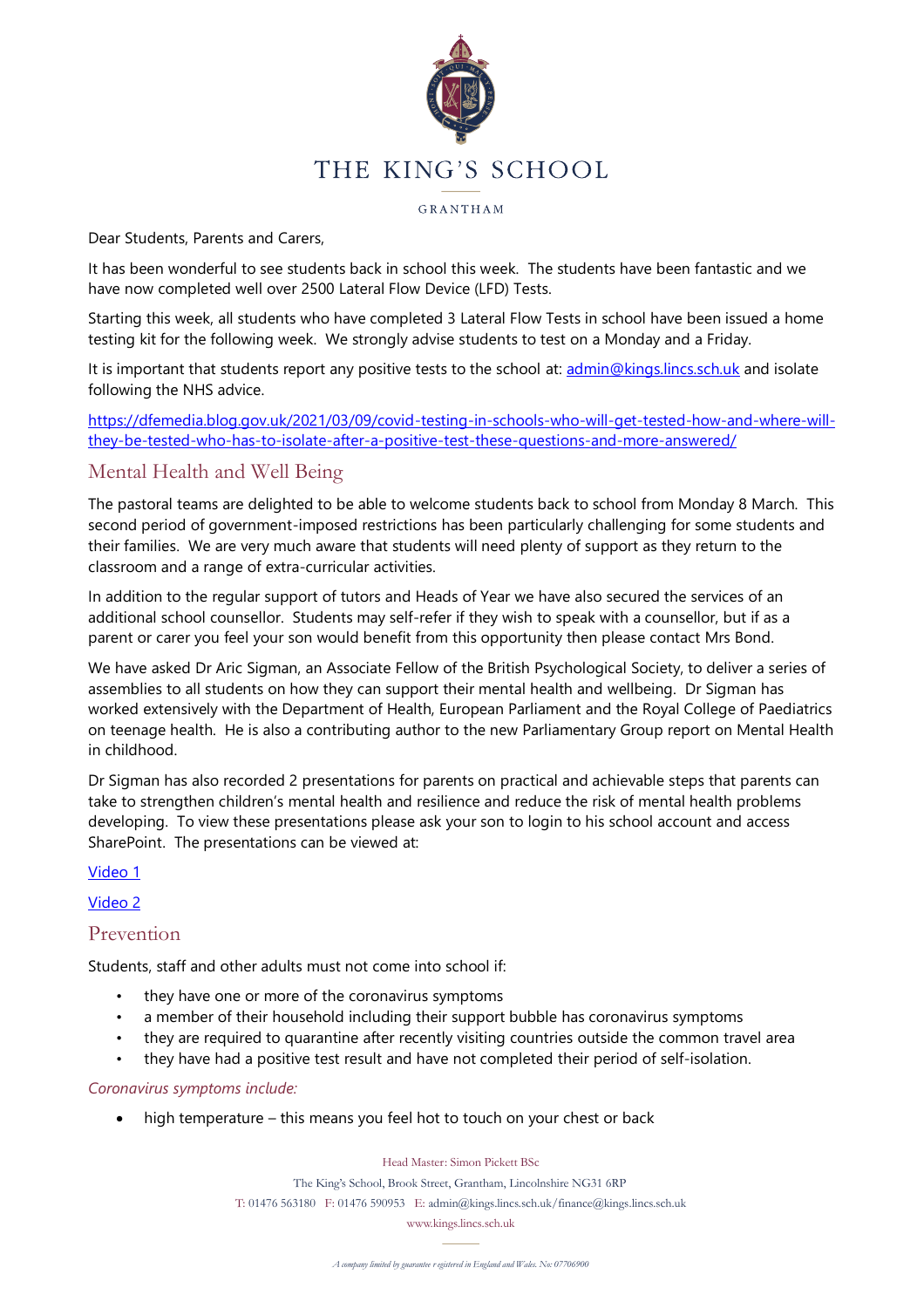

GRANTHAM

Dear Students, Parents and Carers,

It has been wonderful to see students back in school this week. The students have been fantastic and we have now completed well over 2500 Lateral Flow Device (LFD) Tests.

Starting this week, all students who have completed 3 Lateral Flow Tests in school have been issued a home testing kit for the following week. We strongly advise students to test on a Monday and a Friday.

It is important that students report any positive tests to the school at[: admin@kings.lincs.sch.uk](mailto:admin@kings.lincs.sch.uk) and isolate following the NHS advice.

[https://dfemedia.blog.gov.uk/2021/03/09/covid-testing-in-schools-who-will-get-tested-how-and-where-will](https://dfemedia.blog.gov.uk/2021/03/09/covid-testing-in-schools-who-will-get-tested-how-and-where-will-they-be-tested-who-has-to-isolate-after-a-positive-test-these-questions-and-more-answered/)[they-be-tested-who-has-to-isolate-after-a-positive-test-these-questions-and-more-answered/](https://dfemedia.blog.gov.uk/2021/03/09/covid-testing-in-schools-who-will-get-tested-how-and-where-will-they-be-tested-who-has-to-isolate-after-a-positive-test-these-questions-and-more-answered/)

### Mental Health and Well Being

The pastoral teams are delighted to be able to welcome students back to school from Monday 8 March. This second period of government-imposed restrictions has been particularly challenging for some students and their families. We are very much aware that students will need plenty of support as they return to the classroom and a range of extra-curricular activities.

In addition to the regular support of tutors and Heads of Year we have also secured the services of an additional school counsellor. Students may self-refer if they wish to speak with a counsellor, but if as a parent or carer you feel your son would benefit from this opportunity then please contact Mrs Bond.

We have asked Dr Aric Sigman, an Associate Fellow of the British Psychological Society, to deliver a series of assemblies to all students on how they can support their mental health and wellbeing. Dr Sigman has worked extensively with the Department of Health, European Parliament and the Royal College of Paediatrics on teenage health. He is also a contributing author to the new Parliamentary Group report on Mental Health in childhood.

Dr Sigman has also recorded 2 presentations for parents on practical and achievable steps that parents can take to strengthen children's mental health and resilience and reduce the risk of mental health problems developing. To view these presentations please ask your son to login to his school account and access SharePoint. The presentations can be viewed at:

[Video](https://kingsgr.sharepoint.com/:v:/s/KSG-Pastoral_Information/EbIC2Zh4QLtLsVPd7mLuKwEBzaLdq1qgmX8y8xKlxfgecg?e=djzbm8) 1

[Video](https://kingsgr.sharepoint.com/:v:/s/KSG-Pastoral_Information/EUj1XHQwib9Dh7DXX3q3VkMBX36mIENlTx0jkEx7LBgqng?e=f24ZMg) 2

#### Prevention

Students, staff and other adults must not come into school if:

- they have one or more of the coronavirus symptoms
- a member of their household including their support bubble has coronavirus symptoms
- they are required to quarantine after recently visiting countries outside the common travel area
- they have had a positive test result and have not completed their period of self-isolation.

#### *Coronavirus symptoms include:*

• high temperature – this means you feel hot to touch on your chest or back

Head Master: Simon Pickett BSc

The King's School, Brook Street, Grantham, Lincolnshire NG31 6RP

T: 01476 563180 F: 01476 590953 E: admin@kings.lincs.sch.uk/finance@kings.lincs.sch.uk

www.kings.lincs.sch.uk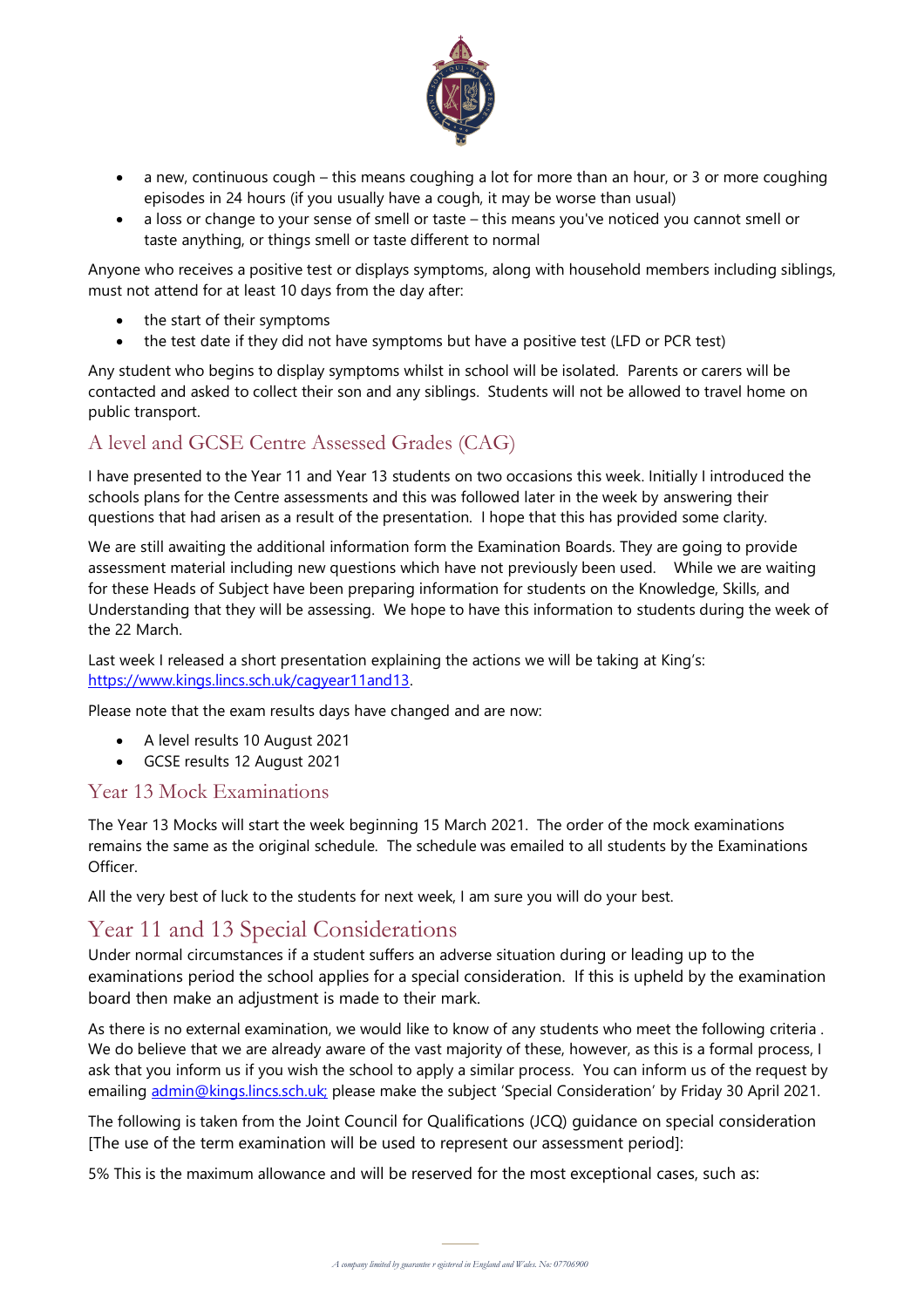

- a new, continuous cough this means coughing a lot for more than an hour, or 3 or more coughing episodes in 24 hours (if you usually have a cough, it may be worse than usual)
- a loss or change to your sense of smell or taste this means you've noticed you cannot smell or taste anything, or things smell or taste different to normal

Anyone who receives a positive test or displays symptoms, along with household members including siblings, must not attend for at least 10 days from the day after:

- the start of their symptoms
- the test date if they did not have symptoms but have a positive test (LFD or PCR test)

Any student who begins to display symptoms whilst in school will be isolated. Parents or carers will be contacted and asked to collect their son and any siblings. Students will not be allowed to travel home on public transport.

# A level and GCSE Centre Assessed Grades (CAG)

I have presented to the Year 11 and Year 13 students on two occasions this week. Initially I introduced the schools plans for the Centre assessments and this was followed later in the week by answering their questions that had arisen as a result of the presentation. I hope that this has provided some clarity.

We are still awaiting the additional information form the Examination Boards. They are going to provide assessment material including new questions which have not previously been used. While we are waiting for these Heads of Subject have been preparing information for students on the Knowledge, Skills, and Understanding that they will be assessing. We hope to have this information to students during the week of the 22 March.

Last week I released a short presentation explaining the actions we will be taking at King's: [https://www.kings.lincs.sch.uk/cagyear11and13.](https://www.kings.lincs.sch.uk/cagyear11and13)

Please note that the exam results days have changed and are now:

- A level results 10 August 2021
- GCSE results 12 August 2021

### Year 13 Mock Examinations

The Year 13 Mocks will start the week beginning 15 March 2021. The order of the mock examinations remains the same as the original schedule. The schedule was emailed to all students by the Examinations Officer.

All the very best of luck to the students for next week, I am sure you will do your best.

## Year 11 and 13 Special Considerations

Under normal circumstances if a student suffers an adverse situation during or leading up to the examinations period the school applies for a special consideration. If this is upheld by the examination board then make an adjustment is made to their mark.

As there is no external examination, we would like to know of any students who meet the following criteria . We do believe that we are already aware of the vast majority of these, however, as this is a formal process, I ask that you inform us if you wish the school to apply a similar process. You can inform us of the request by emailing [admin@kings.lincs.sch.uk;](mailto:admin@kings.lincs.sch.uk;) please make the subject 'Special Consideration' by Friday 30 April 2021.

The following is taken from the Joint Council for Qualifications (JCQ) guidance on special consideration [The use of the term examination will be used to represent our assessment period]:

5% This is the maximum allowance and will be reserved for the most exceptional cases, such as: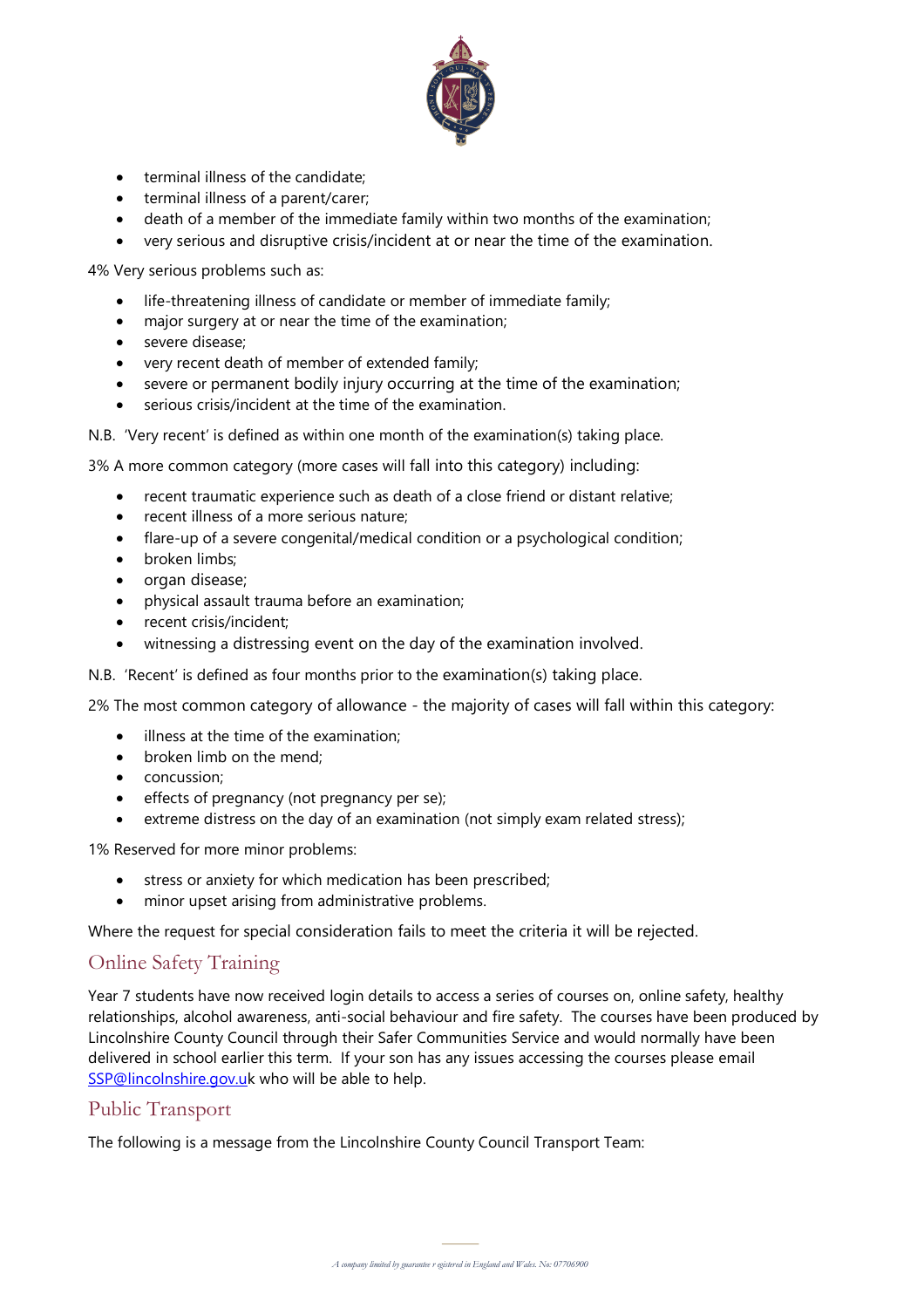

- terminal illness of the candidate;
- terminal illness of a parent/carer;
- death of a member of the immediate family within two months of the examination;
- very serious and disruptive crisis/incident at or near the time of the examination.

4% Very serious problems such as:

- life-threatening illness of candidate or member of immediate family;
- major surgery at or near the time of the examination;
- severe disease;
- very recent death of member of extended family;
- severe or permanent bodily injury occurring at the time of the examination;
- serious crisis/incident at the time of the examination.

N.B. 'Very recent' is defined as within one month of the examination(s) taking place.

3% A more common category (more cases will fall into this category) including:

- recent traumatic experience such as death of a close friend or distant relative;
- recent illness of a more serious nature;
- flare-up of a severe congenital/medical condition or a psychological condition;
- broken limbs;
- organ disease;
- physical assault trauma before an examination;
- recent crisis/incident:
- witnessing a distressing event on the day of the examination involved.
- N.B. 'Recent' is defined as four months prior to the examination(s) taking place.

2% The most common category of allowance - the majority of cases will fall within this category:

- illness at the time of the examination;
- broken limb on the mend:
- concussion;
- effects of pregnancy (not pregnancy per se);
- extreme distress on the day of an examination (not simply exam related stress);

1% Reserved for more minor problems:

- stress or anxiety for which medication has been prescribed;
- minor upset arising from administrative problems.

Where the request for special consideration fails to meet the criteria it will be rejected.

### Online Safety Training

Year 7 students have now received login details to access a series of courses on, online safety, healthy relationships, alcohol awareness, anti-social behaviour and fire safety. The courses have been produced by Lincolnshire County Council through their Safer Communities Service and would normally have been delivered in school earlier this term. If your son has any issues accessing the courses please email [SSP@lincolnshire.gov.uk](mailto:SSP@lincolnshire.gov.uk) who will be able to help.

#### Public Transport

The following is a message from the Lincolnshire County Council Transport Team: